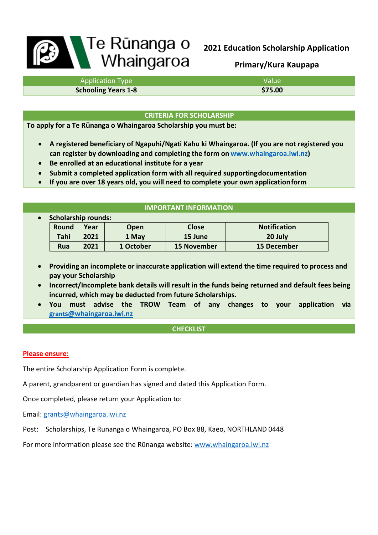# **B** Te Rūnanga o

# **2021 Education Scholarship Application**

**Primary/Kura Kaupapa**

| <b>Application Type</b>    | <b>Value</b> |
|----------------------------|--------------|
| <b>Schooling Years 1-8</b> | \$75.00      |

# **CRITERIA FOR SCHOLARSHIP**

**To apply for a Te Rūnanga o Whaingaroa Scholarship you must be:**

- **A registered beneficiary of Ngapuhi/Ngati Kahu ki Whaingaroa. (If you are not registered you can register by downloading and completing the form on [www.whaingaroa.iwi.nz\)](http://www.whaingaroa.iwi.nz/)**
- **Be enrolled at an educational institute for a year**
- **Submit a completed application form with all required supportingdocumentation**
- **If you are over 18 years old, you will need to complete your own applicationform**

# **IMPORTANT INFORMATION**

| $\bullet$ | <b>Scholarship rounds:</b> |      |           |              |                     |
|-----------|----------------------------|------|-----------|--------------|---------------------|
|           | Round                      | Year | Open      | <b>Close</b> | <b>Notification</b> |
|           | Tahi                       | 2021 | 1 May     | 15 June      | 20 July             |
|           | Rua                        | 2021 | 1 October | 15 November  | <b>15 December</b>  |

- **Providing an incomplete or inaccurate application will extend the time required to process and pay your Scholarship**
- **Incorrect/Incomplete bank details will result in the funds being returned and default fees being incurred, which may be deducted from future Scholarships.**
- **You must advise the TROW Team of any changes to your application vi[a](mailto:grants@whaingaroa.iwi.nz) [grants@whaingaroa.iwi.nz](mailto:grants@whaingaroa.iwi.nz)**

# **CHECKLIST**

# **Please ensure:**

The entire Scholarship Application Form is complete.

A parent, grandparent or guardian has signed and dated this Application Form.

Once completed, please return your Application to:

Email: [grants@whaingaroa.iwi.nz](mailto:grants@whaingaroa.iwi.nz)

Post: Scholarships, Te Runanga o Whaingaroa, PO Box 88, Kaeo, NORTHLAND 0448

For more information please see the Rūnanga website: [www.whaingaroa.iwi.nz](http://www.whaingaroa.iwi.nz/)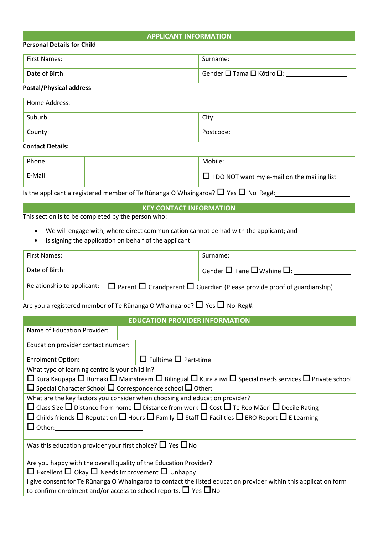## **APPLICANT INFORMATION**

### **Personal Details for Child**

| 'First Names:  | Surname:                  |
|----------------|---------------------------|
| Date of Birth: | Gender □ Tama □ Kōtiro □: |

# **Postal/Physical address**

| Home Address: |           |
|---------------|-----------|
| Suburb:       | City:     |
| County:       | Postcode: |

### **Contact Details:**

| Phone:  | Mobile:                                            |
|---------|----------------------------------------------------|
| E-Mail: | $\Box$ I DO NOT want my e-mail on the mailing list |

Is the applicant a registered member of Te Rūnanga O Whaingaroa?  $\Box$  Yes  $\Box$  No Reg#:

# **KEY CONTACT INFORMATION**

This section is to be completed by the person who:

- We will engage with, where direct communication cannot be had with the applicant; and
- Is signing the application on behalf of the applicant

| First Names:                       |  | Surname:                                                                                |
|------------------------------------|--|-----------------------------------------------------------------------------------------|
| Date of Birth:                     |  | Gender $\square$ Tāne $\square$ Wāhine $\square$ :                                      |
| Relationship to applicant: $\vert$ |  | $\Box$ Parent $\Box$ Grandparent $\Box$ Guardian (Please provide proof of guardianship) |

Are you a registered member of Te Rūnanga O Whaingaroa?  $\Box$  Yes  $\Box$  No Reg#:

# **EDUCATION PROVIDER INFORMATION**

| Name of Education Provider:                                                |                                                                                                                                            |
|----------------------------------------------------------------------------|--------------------------------------------------------------------------------------------------------------------------------------------|
| Education provider contact number:                                         |                                                                                                                                            |
| <b>Enrolment Option:</b>                                                   | $\Box$ Fulltime $\Box$ Part-time                                                                                                           |
| What type of learning centre is your child in?                             |                                                                                                                                            |
|                                                                            | $\Box$ Kura Kaupapa $\Box$ Rūmaki $\Box$ Mainstream $\Box$ Bilingual $\Box$ Kura ā iwi $\Box$ Special needs services $\Box$ Private school |
| $\Box$ Special Character School $\Box$ Correspondence school $\Box$ Other: |                                                                                                                                            |
|                                                                            | What are the key factors you consider when choosing and education provider?                                                                |
|                                                                            | $\Box$ Class Size $\Box$ Distance from home $\Box$ Distance from work $\Box$ Cost $\Box$ Te Reo Māori $\Box$ Decile Rating                 |
|                                                                            | $\Box$ Childs friends $\Box$ Reputation $\Box$ Hours $\Box$ Family $\Box$ Staff $\Box$ Facilities $\Box$ ERO Report $\Box$ E Learning      |
| $\Box$ Other:                                                              |                                                                                                                                            |
|                                                                            |                                                                                                                                            |
| Was this education provider your first choice? $\Box$ Yes $\Box$ No        |                                                                                                                                            |
| Are you happy with the overall quality of the Education Provider?          |                                                                                                                                            |
| $\Box$ Excellent $\Box$ Okay $\Box$ Needs Improvement $\Box$ Unhappy       |                                                                                                                                            |
|                                                                            | I give consent for Te Rūnanga O Whaingaroa to contact the listed education provider within this application form                           |
|                                                                            | to confirm enrolment and/or access to school reports. $\Box$ Yes $\Box$ No                                                                 |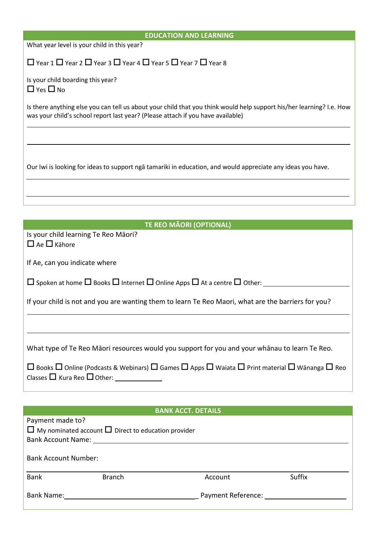| <b>EDUCATION AND LEARNING</b>                                                                                                                                                                           |
|---------------------------------------------------------------------------------------------------------------------------------------------------------------------------------------------------------|
| What year level is your child in this year?                                                                                                                                                             |
| $\Box$ Year 1 $\Box$ Year 2 $\Box$ Year 3 $\Box$ Year 4 $\Box$ Year 5 $\Box$ Year 7 $\Box$ Year 8                                                                                                       |
| Is your child boarding this year?<br>$\Box$ Yes $\Box$ No                                                                                                                                               |
| Is there anything else you can tell us about your child that you think would help support his/her learning? I.e. How<br>was your child's school report last year? (Please attach if you have available) |
|                                                                                                                                                                                                         |
| Our Iwi is looking for ideas to support ngā tamariki in education, and would appreciate any ideas you have.                                                                                             |
|                                                                                                                                                                                                         |
|                                                                                                                                                                                                         |
| <b>TE REO MÃORI (OPTIONAL)</b>                                                                                                                                                                          |
| Is your child learning Te Reo Māori?<br>$\Box$ Ae $\Box$ Kähore                                                                                                                                         |
| If Ae, can you indicate where                                                                                                                                                                           |
| $\Box$ Spoken at home $\Box$ Books $\Box$ Internet $\Box$ Online Apps $\Box$ At a centre $\Box$ Other:                                                                                                  |
| If your child is not and you are wanting them to learn Te Reo Maori, what are the barriers for you?                                                                                                     |
|                                                                                                                                                                                                         |
| What type of Te Reo Māori resources would you support for you and your whānau to learn Te Reo.                                                                                                          |
| $\Box$ Books $\Box$ Online (Podcasts & Webinars) $\Box$ Games $\Box$ Apps $\Box$ Waiata $\Box$ Print material $\Box$ Wānanga $\Box$ Reo                                                                 |
|                                                                                                                                                                                                         |
| <b>BANK ACCT. DETAILS</b>                                                                                                                                                                               |
| Payment made to?<br>$\Box$ My nominated account $\Box$ Direct to education provider<br>Bank Account Name: Name: Name and Account Name and Account Name and Account Name and Account of the Account of   |
| <b>Bank Account Number:</b>                                                                                                                                                                             |
| <b>Bank</b><br><b>Branch</b><br>Suffix<br>Account                                                                                                                                                       |
| Payment Reference:                                                                                                                                                                                      |